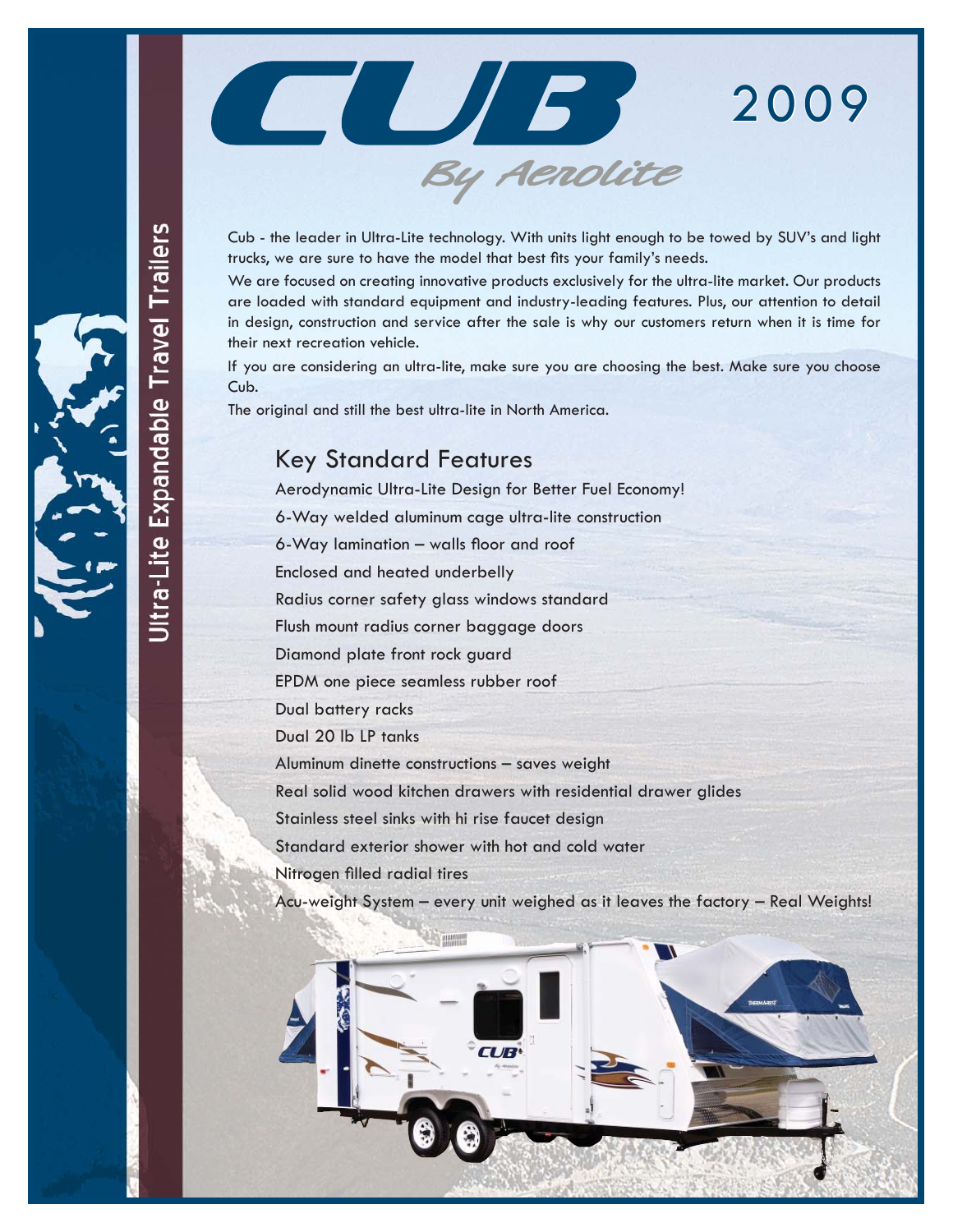

By Aerolite

We are focused on creating innovative products exclusively for the ultra-lite market. Our products are loaded with standard equipment and industry-leading features. Plus, our attention to detail in design, construction and service after the sale is why our customers return when it is time for their next recreation vehicle.

If you are considering an ultra-lite, make sure you are choosing the best. Make sure you choose Cub.

The original and still the best ultra-lite in North America.

### Key Standard Features

Aerodynamic Ultra-Lite Design for Better Fuel Economy! 6-Way welded aluminum cage ultra-lite construction  $6$ -Way lamination – walls floor and roof Enclosed and heated underbelly Radius corner safety glass windows standard Flush mount radius corner baggage doors Diamond plate front rock guard EPDM one piece seamless rubber roof Dual battery racks Dual 20 lb LP tanks Aluminum dinette constructions – saves weight Real solid wood kitchen drawers with residential drawer glides Stainless steel sinks with hi rise faucet design Standard exterior shower with hot and cold water Nitrogen filled radial tires

Acu-weight System – every unit weighed as it leaves the factory – Real Weights!

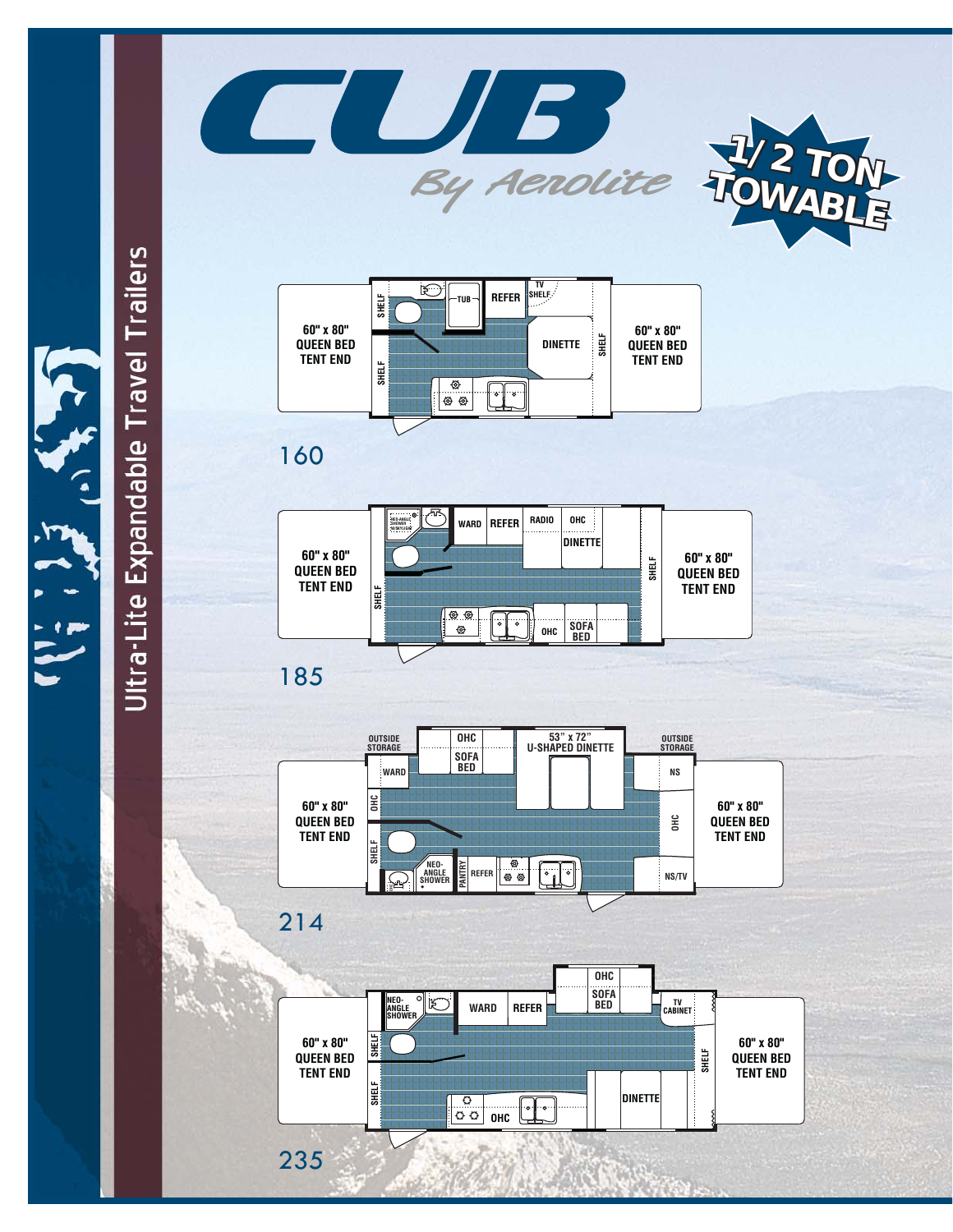





# Ultra-Lite Expandable Travel Trailers

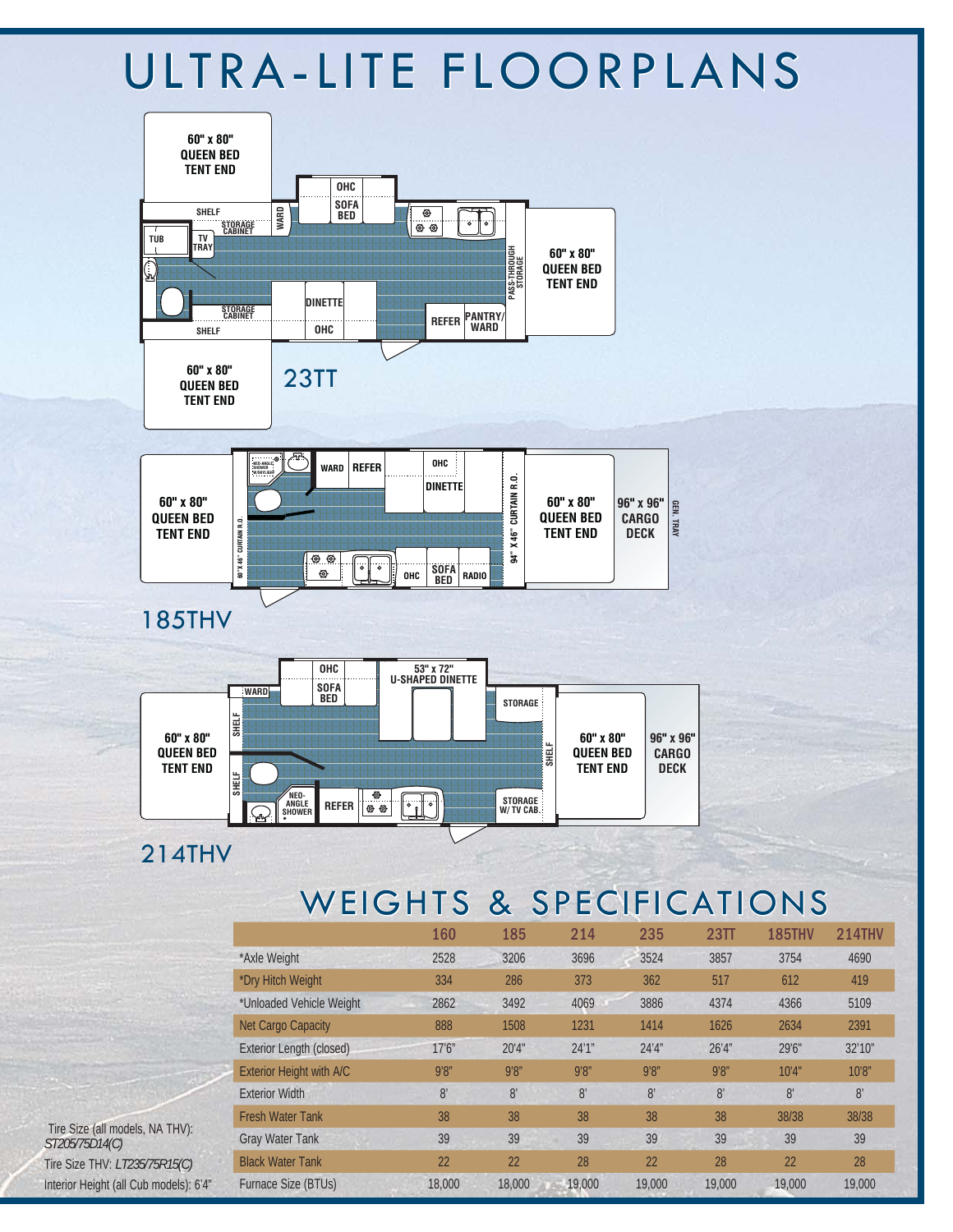# ULTRA-LITE FLOORPLANS



# WEIGHTS & SPECIFICATIONS

|                            | 160    | 185            | 214    | 235    | 23 <sub>TT</sub> | <b>185THV</b>  | <b>214THV</b> |
|----------------------------|--------|----------------|--------|--------|------------------|----------------|---------------|
| *Axle Weight               | 2528   | 3206           | 3696   | 3524   | 3857             | 3754           | 4690          |
| *Dry Hitch Weight          | 334    | 286            | 373    | 362    | 517              | 612            | 419           |
| *Unloaded Vehicle Weight   | 2862   | 3492           | 4069   | 3886   | 4374             | 4366           | 5109          |
| Net Cargo Capacity         | 888    | 1508           | 1231   | 1414   | 1626             | 2634           | 2391          |
| Exterior Length (closed)   | 17'6'' | 20'4"          | 24'1'' | 24'4'' | 26'4''           | 29'6"          | 32'10"        |
| Exterior Height with A/C   | 9'8''  | 9'8''          | 9'8''  | 9'8''  | 9'8''            | 10'4"          | 10'8''        |
| <b>Exterior Width</b>      | 8'     | 8 <sup>′</sup> | 8'     | 8'     | 8'               | 8 <sup>1</sup> | 8'            |
| <b>Fresh Water Tank</b>    | 38     | 38             | 38     | 38     | 38               | 38/38          | 38/38         |
| <b>Gray Water Tank</b>     | 39     | 39             | 39     | 39     | 39               | 39             | 39            |
| <b>Black Water Tank</b>    | 22     | 22             | 28     | 22     | 28               | 22             | 28            |
| <b>Furnace Size (BTUs)</b> | 18,000 | 18,000         | 19,000 | 19,000 | 19,000           | 19,000         | 19,000        |

 Tire Size (all models, NA THV): *ST205/75D14(C)* Tire Size THV: *LT235/75R15(C)* Interior Height (all Cub models): 6'4"